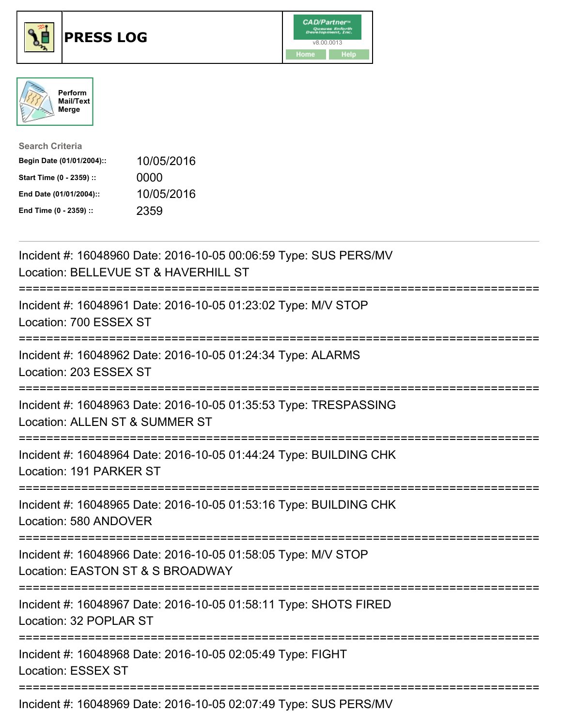





| <b>Search Criteria</b>    |            |
|---------------------------|------------|
| Begin Date (01/01/2004):: | 10/05/2016 |
| Start Time (0 - 2359) ::  | 0000       |
| End Date (01/01/2004)::   | 10/05/2016 |
| End Time (0 - 2359) ::    | 2359       |

| Incident #: 16048960 Date: 2016-10-05 00:06:59 Type: SUS PERS/MV<br>Location: BELLEVUE ST & HAVERHILL ST                          |
|-----------------------------------------------------------------------------------------------------------------------------------|
| Incident #: 16048961 Date: 2016-10-05 01:23:02 Type: M/V STOP<br>Location: 700 ESSEX ST                                           |
| Incident #: 16048962 Date: 2016-10-05 01:24:34 Type: ALARMS<br>Location: 203 ESSEX ST                                             |
| Incident #: 16048963 Date: 2016-10-05 01:35:53 Type: TRESPASSING<br>Location: ALLEN ST & SUMMER ST                                |
| Incident #: 16048964 Date: 2016-10-05 01:44:24 Type: BUILDING CHK<br>Location: 191 PARKER ST<br>=====================             |
| Incident #: 16048965 Date: 2016-10-05 01:53:16 Type: BUILDING CHK<br>Location: 580 ANDOVER<br>.---------------------------------- |
| Incident #: 16048966 Date: 2016-10-05 01:58:05 Type: M/V STOP<br>Location: EASTON ST & S BROADWAY                                 |
| Incident #: 16048967 Date: 2016-10-05 01:58:11 Type: SHOTS FIRED<br>Location: 32 POPLAR ST                                        |
| Incident #: 16048968 Date: 2016-10-05 02:05:49 Type: FIGHT<br><b>Location: ESSEX ST</b>                                           |
| Incident #: 16048969 Date: 2016-10-05 02:07:49 Type: SUS PERS/MV                                                                  |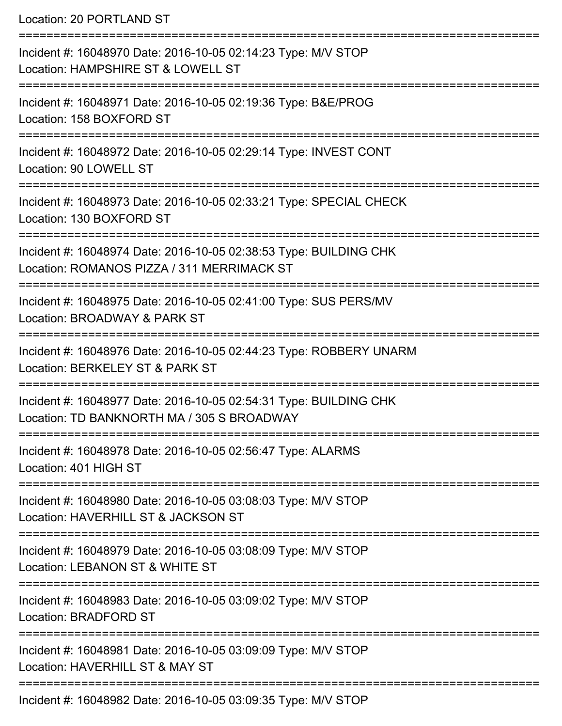Location: 20 PORTLAND ST

| Incident #: 16048970 Date: 2016-10-05 02:14:23 Type: M/V STOP<br>Location: HAMPSHIRE ST & LOWELL ST             |
|-----------------------------------------------------------------------------------------------------------------|
| Incident #: 16048971 Date: 2016-10-05 02:19:36 Type: B&E/PROG<br>Location: 158 BOXFORD ST                       |
| Incident #: 16048972 Date: 2016-10-05 02:29:14 Type: INVEST CONT<br>Location: 90 LOWELL ST                      |
| Incident #: 16048973 Date: 2016-10-05 02:33:21 Type: SPECIAL CHECK<br>Location: 130 BOXFORD ST                  |
| Incident #: 16048974 Date: 2016-10-05 02:38:53 Type: BUILDING CHK<br>Location: ROMANOS PIZZA / 311 MERRIMACK ST |
| Incident #: 16048975 Date: 2016-10-05 02:41:00 Type: SUS PERS/MV<br>Location: BROADWAY & PARK ST                |
| Incident #: 16048976 Date: 2016-10-05 02:44:23 Type: ROBBERY UNARM<br>Location: BERKELEY ST & PARK ST           |
| Incident #: 16048977 Date: 2016-10-05 02:54:31 Type: BUILDING CHK<br>Location: TD BANKNORTH MA / 305 S BROADWAY |
| Incident #: 16048978 Date: 2016-10-05 02:56:47 Type: ALARMS<br>Location: 401 HIGH ST                            |
| Incident #: 16048980 Date: 2016-10-05 03:08:03 Type: M/V STOP<br>Location: HAVERHILL ST & JACKSON ST            |
| Incident #: 16048979 Date: 2016-10-05 03:08:09 Type: M/V STOP<br>Location: LEBANON ST & WHITE ST                |
| Incident #: 16048983 Date: 2016-10-05 03:09:02 Type: M/V STOP<br><b>Location: BRADFORD ST</b>                   |
| Incident #: 16048981 Date: 2016-10-05 03:09:09 Type: M/V STOP<br>Location: HAVERHILL ST & MAY ST                |
| Incident #: 16048982 Date: 2016-10-05 03:09:35 Type: M/V STOP                                                   |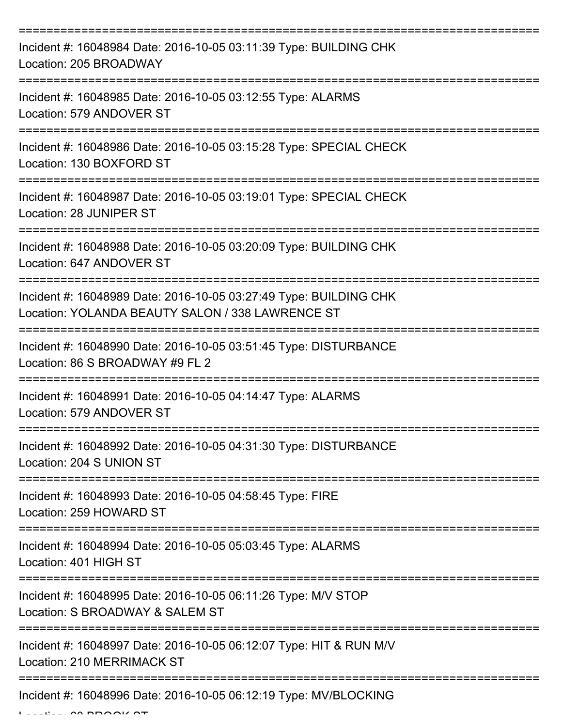| Incident #: 16048984 Date: 2016-10-05 03:11:39 Type: BUILDING CHK<br>Location: 205 BROADWAY                                               |
|-------------------------------------------------------------------------------------------------------------------------------------------|
| Incident #: 16048985 Date: 2016-10-05 03:12:55 Type: ALARMS<br>Location: 579 ANDOVER ST                                                   |
| Incident #: 16048986 Date: 2016-10-05 03:15:28 Type: SPECIAL CHECK<br>Location: 130 BOXFORD ST                                            |
| Incident #: 16048987 Date: 2016-10-05 03:19:01 Type: SPECIAL CHECK<br>Location: 28 JUNIPER ST                                             |
| Incident #: 16048988 Date: 2016-10-05 03:20:09 Type: BUILDING CHK<br>Location: 647 ANDOVER ST                                             |
| Incident #: 16048989 Date: 2016-10-05 03:27:49 Type: BUILDING CHK<br>Location: YOLANDA BEAUTY SALON / 338 LAWRENCE ST                     |
| Incident #: 16048990 Date: 2016-10-05 03:51:45 Type: DISTURBANCE<br>Location: 86 S BROADWAY #9 FL 2                                       |
| Incident #: 16048991 Date: 2016-10-05 04:14:47 Type: ALARMS<br>Location: 579 ANDOVER ST                                                   |
| Incident #: 16048992 Date: 2016-10-05 04:31:30 Type: DISTURBANCE<br>Location: 204 S UNION ST                                              |
| Incident #: 16048993 Date: 2016-10-05 04:58:45 Type: FIRE<br>Location: 259 HOWARD ST                                                      |
| Incident #: 16048994 Date: 2016-10-05 05:03:45 Type: ALARMS<br>Location: 401 HIGH ST                                                      |
| _____________________________________<br>Incident #: 16048995 Date: 2016-10-05 06:11:26 Type: M/V STOP<br>Location: S BROADWAY & SALEM ST |
| Incident #: 16048997 Date: 2016-10-05 06:12:07 Type: HIT & RUN M/V<br>Location: 210 MERRIMACK ST                                          |
| Incident #: 16048996 Date: 2016-10-05 06:12:19 Type: MV/BLOCKING                                                                          |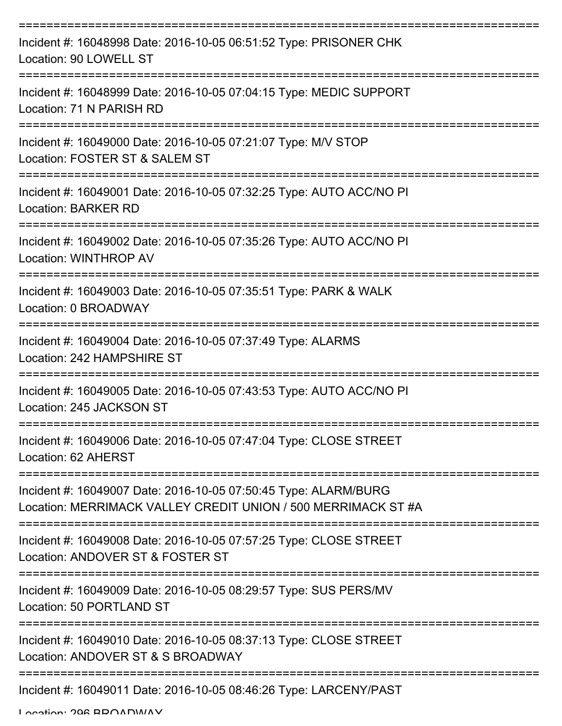| Incident #: 16048998 Date: 2016-10-05 06:51:52 Type: PRISONER CHK<br>Location: 90 LOWELL ST                                      |
|----------------------------------------------------------------------------------------------------------------------------------|
| Incident #: 16048999 Date: 2016-10-05 07:04:15 Type: MEDIC SUPPORT<br>Location: 71 N PARISH RD                                   |
| Incident #: 16049000 Date: 2016-10-05 07:21:07 Type: M/V STOP<br>Location: FOSTER ST & SALEM ST                                  |
| Incident #: 16049001 Date: 2016-10-05 07:32:25 Type: AUTO ACC/NO PI<br><b>Location: BARKER RD</b>                                |
| Incident #: 16049002 Date: 2016-10-05 07:35:26 Type: AUTO ACC/NO PI<br><b>Location: WINTHROP AV</b>                              |
| Incident #: 16049003 Date: 2016-10-05 07:35:51 Type: PARK & WALK<br>Location: 0 BROADWAY                                         |
| Incident #: 16049004 Date: 2016-10-05 07:37:49 Type: ALARMS<br>Location: 242 HAMPSHIRE ST                                        |
| Incident #: 16049005 Date: 2016-10-05 07:43:53 Type: AUTO ACC/NO PI<br>Location: 245 JACKSON ST                                  |
| Incident #: 16049006 Date: 2016-10-05 07:47:04 Type: CLOSE STREET<br>Location: 62 AHERST                                         |
| Incident #: 16049007 Date: 2016-10-05 07:50:45 Type: ALARM/BURG<br>Location: MERRIMACK VALLEY CREDIT UNION / 500 MERRIMACK ST #A |
| Incident #: 16049008 Date: 2016-10-05 07:57:25 Type: CLOSE STREET<br>Location: ANDOVER ST & FOSTER ST                            |
| Incident #: 16049009 Date: 2016-10-05 08:29:57 Type: SUS PERS/MV<br>Location: 50 PORTLAND ST                                     |
| Incident #: 16049010 Date: 2016-10-05 08:37:13 Type: CLOSE STREET<br>Location: ANDOVER ST & S BROADWAY                           |
| ------------------------<br>Incident #: 16049011 Date: 2016-10-05 08:46:26 Type: LARCENY/PAST                                    |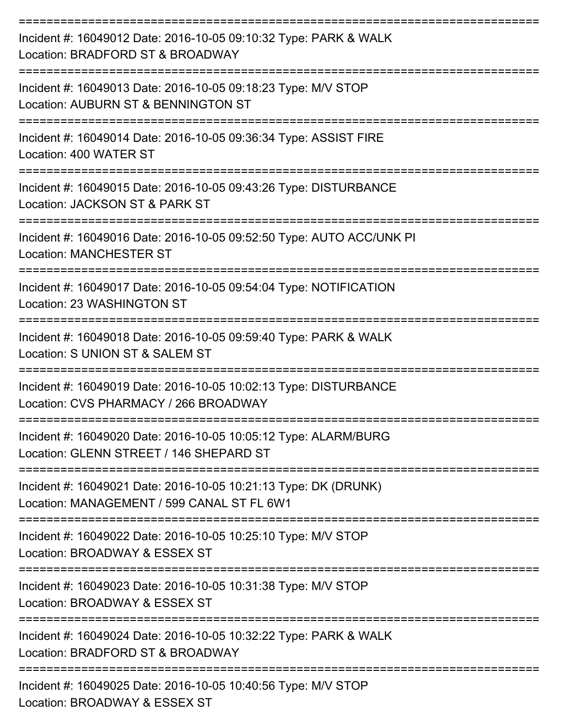| Incident #: 16049012 Date: 2016-10-05 09:10:32 Type: PARK & WALK<br>Location: BRADFORD ST & BROADWAY                 |
|----------------------------------------------------------------------------------------------------------------------|
| Incident #: 16049013 Date: 2016-10-05 09:18:23 Type: M/V STOP<br>Location: AUBURN ST & BENNINGTON ST                 |
| Incident #: 16049014 Date: 2016-10-05 09:36:34 Type: ASSIST FIRE<br>Location: 400 WATER ST                           |
| Incident #: 16049015 Date: 2016-10-05 09:43:26 Type: DISTURBANCE<br>Location: JACKSON ST & PARK ST                   |
| Incident #: 16049016 Date: 2016-10-05 09:52:50 Type: AUTO ACC/UNK PI<br><b>Location: MANCHESTER ST</b>               |
| Incident #: 16049017 Date: 2016-10-05 09:54:04 Type: NOTIFICATION<br>Location: 23 WASHINGTON ST                      |
| Incident #: 16049018 Date: 2016-10-05 09:59:40 Type: PARK & WALK<br>Location: S UNION ST & SALEM ST                  |
| Incident #: 16049019 Date: 2016-10-05 10:02:13 Type: DISTURBANCE<br>Location: CVS PHARMACY / 266 BROADWAY            |
| Incident #: 16049020 Date: 2016-10-05 10:05:12 Type: ALARM/BURG<br>Location: GLENN STREET / 146 SHEPARD ST           |
| Incident #: 16049021 Date: 2016-10-05 10:21:13 Type: DK (DRUNK)<br>Location: MANAGEMENT / 599 CANAL ST FL 6W1        |
| Incident #: 16049022 Date: 2016-10-05 10:25:10 Type: M/V STOP<br>Location: BROADWAY & ESSEX ST                       |
| Incident #: 16049023 Date: 2016-10-05 10:31:38 Type: M/V STOP<br>Location: BROADWAY & ESSEX ST                       |
| Incident #: 16049024 Date: 2016-10-05 10:32:22 Type: PARK & WALK<br>Location: BRADFORD ST & BROADWAY                 |
| ------------------<br>Incident #: 16049025 Date: 2016-10-05 10:40:56 Type: M/V STOP<br>Location: BROADWAY & ESSEX ST |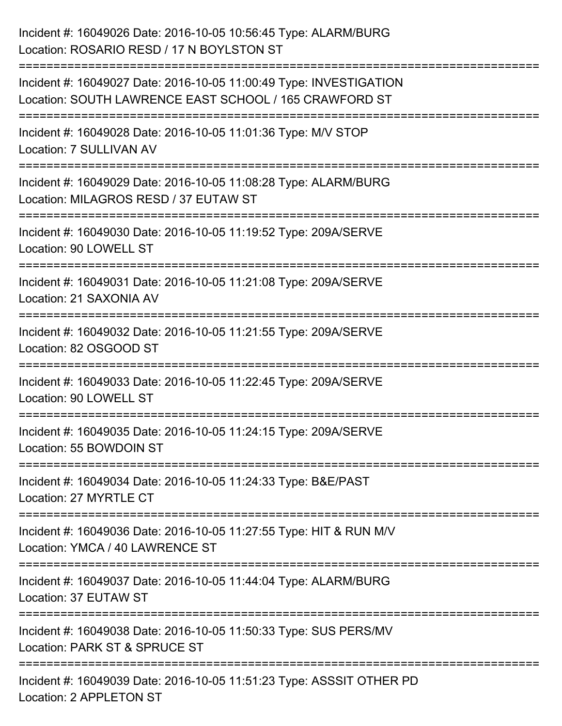| Incident #: 16049026 Date: 2016-10-05 10:56:45 Type: ALARM/BURG<br>Location: ROSARIO RESD / 17 N BOYLSTON ST                     |
|----------------------------------------------------------------------------------------------------------------------------------|
| Incident #: 16049027 Date: 2016-10-05 11:00:49 Type: INVESTIGATION<br>Location: SOUTH LAWRENCE EAST SCHOOL / 165 CRAWFORD ST     |
| Incident #: 16049028 Date: 2016-10-05 11:01:36 Type: M/V STOP<br>Location: 7 SULLIVAN AV                                         |
| Incident #: 16049029 Date: 2016-10-05 11:08:28 Type: ALARM/BURG<br>Location: MILAGROS RESD / 37 EUTAW ST                         |
| Incident #: 16049030 Date: 2016-10-05 11:19:52 Type: 209A/SERVE<br>Location: 90 LOWELL ST                                        |
| Incident #: 16049031 Date: 2016-10-05 11:21:08 Type: 209A/SERVE<br>Location: 21 SAXONIA AV                                       |
| Incident #: 16049032 Date: 2016-10-05 11:21:55 Type: 209A/SERVE<br>Location: 82 OSGOOD ST                                        |
| Incident #: 16049033 Date: 2016-10-05 11:22:45 Type: 209A/SERVE<br>Location: 90 LOWELL ST                                        |
| Incident #: 16049035 Date: 2016-10-05 11:24:15 Type: 209A/SERVE<br>Location: 55 BOWDOIN ST                                       |
| Incident #: 16049034 Date: 2016-10-05 11:24:33 Type: B&E/PAST<br>Location: 27 MYRTLE CT                                          |
| Incident #: 16049036 Date: 2016-10-05 11:27:55 Type: HIT & RUN M/V<br>Location: YMCA / 40 LAWRENCE ST                            |
| Incident #: 16049037 Date: 2016-10-05 11:44:04 Type: ALARM/BURG<br>Location: 37 EUTAW ST                                         |
| ===========================<br>Incident #: 16049038 Date: 2016-10-05 11:50:33 Type: SUS PERS/MV<br>Location: PARK ST & SPRUCE ST |
| Incident #: 16049039 Date: 2016-10-05 11:51:23 Type: ASSSIT OTHER PD<br>Location: 2 APPLETON ST                                  |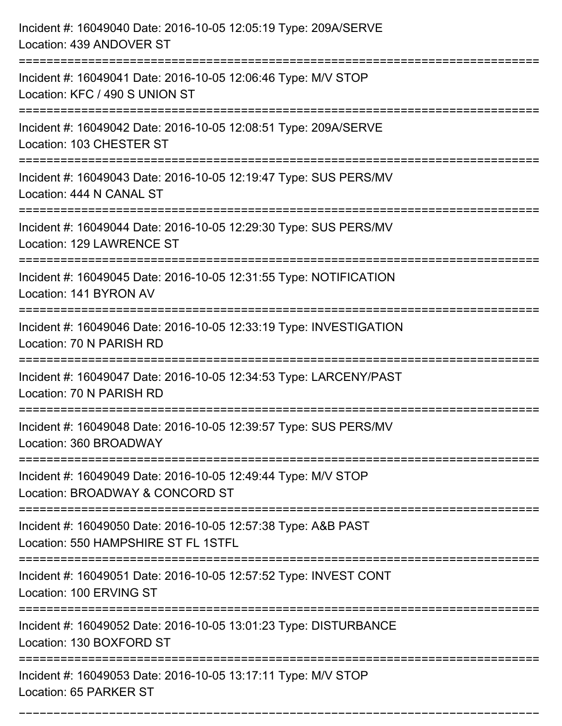| Incident #: 16049040 Date: 2016-10-05 12:05:19 Type: 209A/SERVE<br>Location: 439 ANDOVER ST                                              |
|------------------------------------------------------------------------------------------------------------------------------------------|
| Incident #: 16049041 Date: 2016-10-05 12:06:46 Type: M/V STOP<br>Location: KFC / 490 S UNION ST                                          |
| Incident #: 16049042 Date: 2016-10-05 12:08:51 Type: 209A/SERVE<br>Location: 103 CHESTER ST                                              |
| Incident #: 16049043 Date: 2016-10-05 12:19:47 Type: SUS PERS/MV<br>Location: 444 N CANAL ST                                             |
| Incident #: 16049044 Date: 2016-10-05 12:29:30 Type: SUS PERS/MV<br>Location: 129 LAWRENCE ST                                            |
| Incident #: 16049045 Date: 2016-10-05 12:31:55 Type: NOTIFICATION<br>Location: 141 BYRON AV                                              |
| Incident #: 16049046 Date: 2016-10-05 12:33:19 Type: INVESTIGATION<br>Location: 70 N PARISH RD<br>====================================== |
| Incident #: 16049047 Date: 2016-10-05 12:34:53 Type: LARCENY/PAST<br>Location: 70 N PARISH RD                                            |
| Incident #: 16049048 Date: 2016-10-05 12:39:57 Type: SUS PERS/MV<br>Location: 360 BROADWAY                                               |
| Incident #: 16049049 Date: 2016-10-05 12:49:44 Type: M/V STOP<br>Location: BROADWAY & CONCORD ST<br>------------------                   |
| Incident #: 16049050 Date: 2016-10-05 12:57:38 Type: A&B PAST<br>Location: 550 HAMPSHIRE ST FL 1STFL                                     |
| Incident #: 16049051 Date: 2016-10-05 12:57:52 Type: INVEST CONT<br>Location: 100 ERVING ST                                              |
| Incident #: 16049052 Date: 2016-10-05 13:01:23 Type: DISTURBANCE<br>Location: 130 BOXFORD ST                                             |
| Incident #: 16049053 Date: 2016-10-05 13:17:11 Type: M/V STOP<br>Location: 65 PARKER ST                                                  |

===========================================================================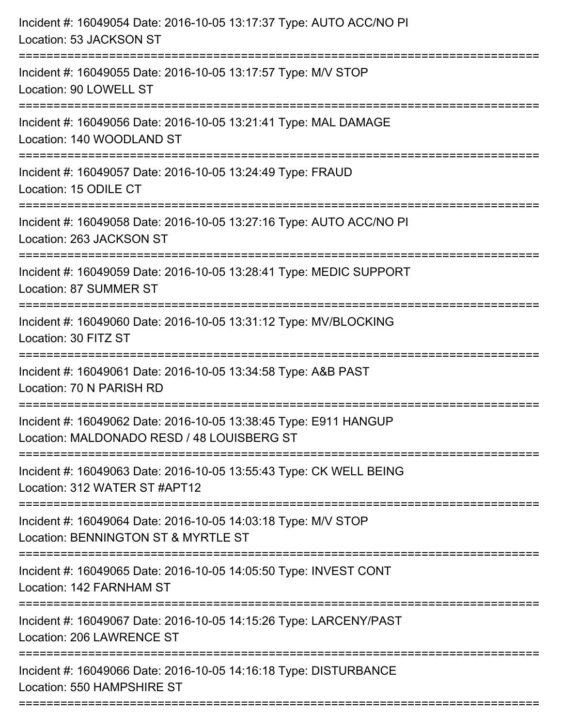| Incident #: 16049054 Date: 2016-10-05 13:17:37 Type: AUTO ACC/NO PI<br>Location: 53 JACKSON ST                                       |
|--------------------------------------------------------------------------------------------------------------------------------------|
| Incident #: 16049055 Date: 2016-10-05 13:17:57 Type: M/V STOP<br>Location: 90 LOWELL ST                                              |
| Incident #: 16049056 Date: 2016-10-05 13:21:41 Type: MAL DAMAGE<br>Location: 140 WOODLAND ST                                         |
| Incident #: 16049057 Date: 2016-10-05 13:24:49 Type: FRAUD<br>Location: 15 ODILE CT                                                  |
| Incident #: 16049058 Date: 2016-10-05 13:27:16 Type: AUTO ACC/NO PI<br>Location: 263 JACKSON ST<br>================================= |
| Incident #: 16049059 Date: 2016-10-05 13:28:41 Type: MEDIC SUPPORT<br>Location: 87 SUMMER ST                                         |
| Incident #: 16049060 Date: 2016-10-05 13:31:12 Type: MV/BLOCKING<br>Location: 30 FITZ ST<br>:===============================         |
| Incident #: 16049061 Date: 2016-10-05 13:34:58 Type: A&B PAST<br>Location: 70 N PARISH RD                                            |
| Incident #: 16049062 Date: 2016-10-05 13:38:45 Type: E911 HANGUP<br>Location: MALDONADO RESD / 48 LOUISBERG ST                       |
| Incident #: 16049063 Date: 2016-10-05 13:55:43 Type: CK WELL BEING<br>Location: 312 WATER ST #APT12                                  |
| Incident #: 16049064 Date: 2016-10-05 14:03:18 Type: M/V STOP<br>Location: BENNINGTON ST & MYRTLE ST                                 |
| Incident #: 16049065 Date: 2016-10-05 14:05:50 Type: INVEST CONT<br>Location: 142 FARNHAM ST                                         |
| Incident #: 16049067 Date: 2016-10-05 14:15:26 Type: LARCENY/PAST<br>Location: 206 LAWRENCE ST                                       |
| Incident #: 16049066 Date: 2016-10-05 14:16:18 Type: DISTURBANCE<br>Location: 550 HAMPSHIRE ST                                       |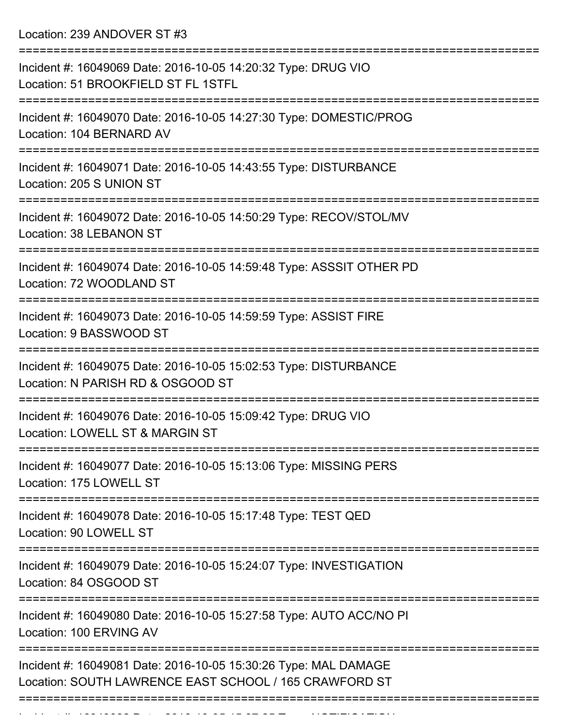Location: 239 ANDOVER ST #3

| Incident #: 16049069 Date: 2016-10-05 14:20:32 Type: DRUG VIO<br>Location: 51 BROOKFIELD ST FL 1STFL                                               |
|----------------------------------------------------------------------------------------------------------------------------------------------------|
| Incident #: 16049070 Date: 2016-10-05 14:27:30 Type: DOMESTIC/PROG<br>Location: 104 BERNARD AV                                                     |
| Incident #: 16049071 Date: 2016-10-05 14:43:55 Type: DISTURBANCE<br>Location: 205 S UNION ST                                                       |
| Incident #: 16049072 Date: 2016-10-05 14:50:29 Type: RECOV/STOL/MV<br>Location: 38 LEBANON ST                                                      |
| Incident #: 16049074 Date: 2016-10-05 14:59:48 Type: ASSSIT OTHER PD<br>Location: 72 WOODLAND ST                                                   |
| Incident #: 16049073 Date: 2016-10-05 14:59:59 Type: ASSIST FIRE<br>Location: 9 BASSWOOD ST                                                        |
| Incident #: 16049075 Date: 2016-10-05 15:02:53 Type: DISTURBANCE<br>Location: N PARISH RD & OSGOOD ST                                              |
| Incident #: 16049076 Date: 2016-10-05 15:09:42 Type: DRUG VIO<br>Location: LOWELL ST & MARGIN ST                                                   |
| Incident #: 16049077 Date: 2016-10-05 15:13:06 Type: MISSING PERS<br>Location: 175 LOWELL ST                                                       |
| ====================<br>===============================<br>Incident #: 16049078 Date: 2016-10-05 15:17:48 Type: TEST QED<br>Location: 90 LOWELL ST |
| Incident #: 16049079 Date: 2016-10-05 15:24:07 Type: INVESTIGATION<br>Location: 84 OSGOOD ST                                                       |
| Incident #: 16049080 Date: 2016-10-05 15:27:58 Type: AUTO ACC/NO PI<br>Location: 100 ERVING AV                                                     |
| Incident #: 16049081 Date: 2016-10-05 15:30:26 Type: MAL DAMAGE<br>Location: SOUTH LAWRENCE EAST SCHOOL / 165 CRAWFORD ST                          |
|                                                                                                                                                    |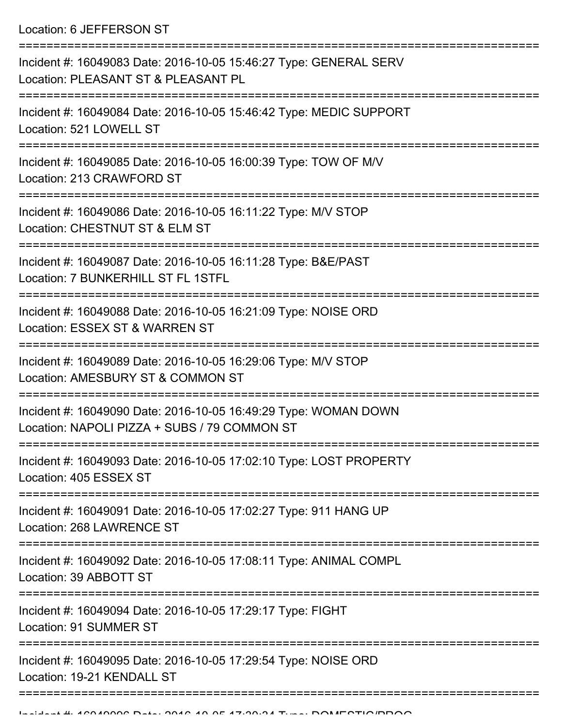Location: 6 JEFFERSON ST

| Incident #: 16049083 Date: 2016-10-05 15:46:27 Type: GENERAL SERV<br>Location: PLEASANT ST & PLEASANT PL                                      |
|-----------------------------------------------------------------------------------------------------------------------------------------------|
| Incident #: 16049084 Date: 2016-10-05 15:46:42 Type: MEDIC SUPPORT<br>Location: 521 LOWELL ST                                                 |
| Incident #: 16049085 Date: 2016-10-05 16:00:39 Type: TOW OF M/V<br>Location: 213 CRAWFORD ST                                                  |
| Incident #: 16049086 Date: 2016-10-05 16:11:22 Type: M/V STOP<br>Location: CHESTNUT ST & ELM ST                                               |
| Incident #: 16049087 Date: 2016-10-05 16:11:28 Type: B&E/PAST<br>Location: 7 BUNKERHILL ST FL 1STFL                                           |
| Incident #: 16049088 Date: 2016-10-05 16:21:09 Type: NOISE ORD<br>Location: ESSEX ST & WARREN ST                                              |
| Incident #: 16049089 Date: 2016-10-05 16:29:06 Type: M/V STOP<br>Location: AMESBURY ST & COMMON ST                                            |
| Incident #: 16049090 Date: 2016-10-05 16:49:29 Type: WOMAN DOWN<br>Location: NAPOLI PIZZA + SUBS / 79 COMMON ST                               |
| Incident #: 16049093 Date: 2016-10-05 17:02:10 Type: LOST PROPERTY<br>Location: 405 ESSEX ST                                                  |
| :===================<br>====================<br>Incident #: 16049091 Date: 2016-10-05 17:02:27 Type: 911 HANG UP<br>Location: 268 LAWRENCE ST |
| Incident #: 16049092 Date: 2016-10-05 17:08:11 Type: ANIMAL COMPL<br>Location: 39 ABBOTT ST                                                   |
| Incident #: 16049094 Date: 2016-10-05 17:29:17 Type: FIGHT<br>Location: 91 SUMMER ST                                                          |
| Incident #: 16049095 Date: 2016-10-05 17:29:54 Type: NOISE ORD<br>Location: 19-21 KENDALL ST                                                  |
|                                                                                                                                               |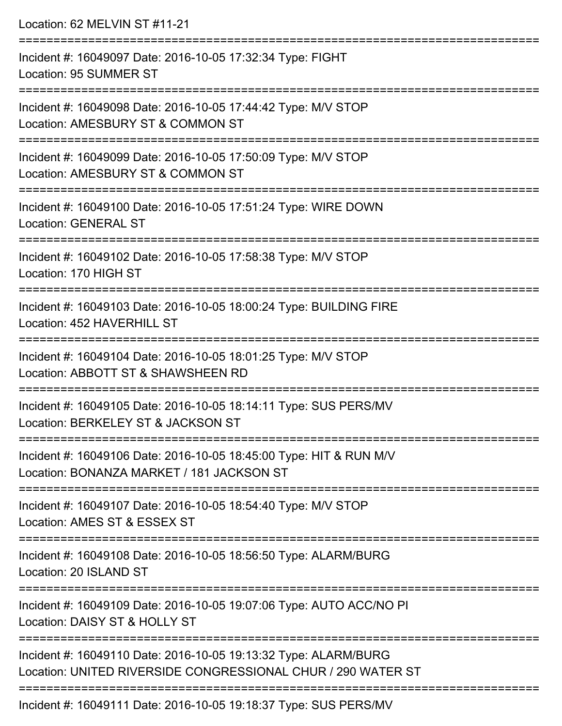| Location: 62 MELVIN ST #11-21                                                                                                            |
|------------------------------------------------------------------------------------------------------------------------------------------|
| Incident #: 16049097 Date: 2016-10-05 17:32:34 Type: FIGHT<br>Location: 95 SUMMER ST                                                     |
| -----------------------------<br>Incident #: 16049098 Date: 2016-10-05 17:44:42 Type: M/V STOP<br>Location: AMESBURY ST & COMMON ST      |
| Incident #: 16049099 Date: 2016-10-05 17:50:09 Type: M/V STOP<br>Location: AMESBURY ST & COMMON ST                                       |
| Incident #: 16049100 Date: 2016-10-05 17:51:24 Type: WIRE DOWN<br><b>Location: GENERAL ST</b>                                            |
| Incident #: 16049102 Date: 2016-10-05 17:58:38 Type: M/V STOP<br>Location: 170 HIGH ST                                                   |
| Incident #: 16049103 Date: 2016-10-05 18:00:24 Type: BUILDING FIRE<br>Location: 452 HAVERHILL ST                                         |
| =================================<br>Incident #: 16049104 Date: 2016-10-05 18:01:25 Type: M/V STOP<br>Location: ABBOTT ST & SHAWSHEEN RD |
| Incident #: 16049105 Date: 2016-10-05 18:14:11 Type: SUS PERS/MV<br>Location: BERKELEY ST & JACKSON ST                                   |
| Incident #: 16049106 Date: 2016-10-05 18:45:00 Type: HIT & RUN M/V<br>Location: BONANZA MARKET / 181 JACKSON ST                          |
| Incident #: 16049107 Date: 2016-10-05 18:54:40 Type: M/V STOP<br>Location: AMES ST & ESSEX ST                                            |
| Incident #: 16049108 Date: 2016-10-05 18:56:50 Type: ALARM/BURG<br>Location: 20 ISLAND ST                                                |
| Incident #: 16049109 Date: 2016-10-05 19:07:06 Type: AUTO ACC/NO PI<br>Location: DAISY ST & HOLLY ST                                     |
| Incident #: 16049110 Date: 2016-10-05 19:13:32 Type: ALARM/BURG<br>Location: UNITED RIVERSIDE CONGRESSIONAL CHUR / 290 WATER ST          |
| Incident #: 16049111 Date: 2016-10-05 19:18:37 Type: SUS PERS/MV                                                                         |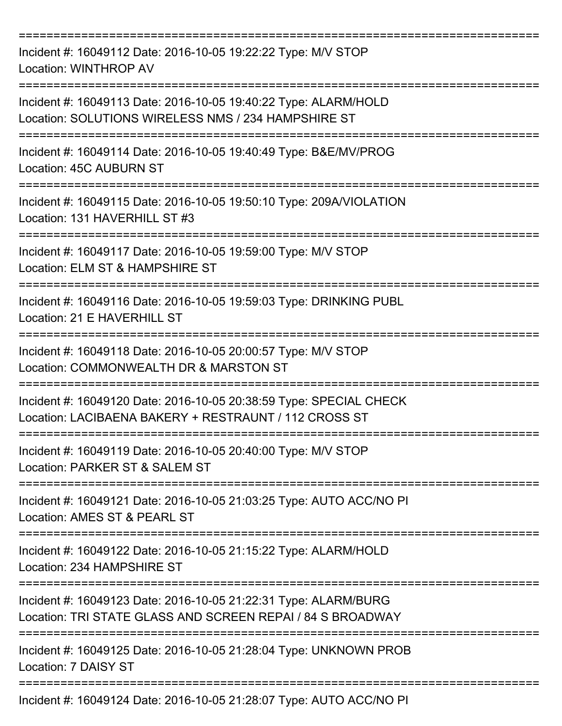| Incident #: 16049112 Date: 2016-10-05 19:22:22 Type: M/V STOP<br>Location: WINTHROP AV                                        |
|-------------------------------------------------------------------------------------------------------------------------------|
| Incident #: 16049113 Date: 2016-10-05 19:40:22 Type: ALARM/HOLD<br>Location: SOLUTIONS WIRELESS NMS / 234 HAMPSHIRE ST        |
| Incident #: 16049114 Date: 2016-10-05 19:40:49 Type: B&E/MV/PROG<br>Location: 45C AUBURN ST                                   |
| Incident #: 16049115 Date: 2016-10-05 19:50:10 Type: 209A/VIOLATION<br>Location: 131 HAVERHILL ST #3                          |
| Incident #: 16049117 Date: 2016-10-05 19:59:00 Type: M/V STOP<br>Location: ELM ST & HAMPSHIRE ST                              |
| Incident #: 16049116 Date: 2016-10-05 19:59:03 Type: DRINKING PUBL<br>Location: 21 E HAVERHILL ST                             |
| Incident #: 16049118 Date: 2016-10-05 20:00:57 Type: M/V STOP<br>Location: COMMONWEALTH DR & MARSTON ST                       |
| Incident #: 16049120 Date: 2016-10-05 20:38:59 Type: SPECIAL CHECK<br>Location: LACIBAENA BAKERY + RESTRAUNT / 112 CROSS ST   |
| Incident #: 16049119 Date: 2016-10-05 20:40:00 Type: M/V STOP<br>Location: PARKER ST & SALEM ST                               |
| Incident #: 16049121 Date: 2016-10-05 21:03:25 Type: AUTO ACC/NO PI<br>Location: AMES ST & PEARL ST                           |
| Incident #: 16049122 Date: 2016-10-05 21:15:22 Type: ALARM/HOLD<br>Location: 234 HAMPSHIRE ST                                 |
| Incident #: 16049123 Date: 2016-10-05 21:22:31 Type: ALARM/BURG<br>Location: TRI STATE GLASS AND SCREEN REPAI / 84 S BROADWAY |
| Incident #: 16049125 Date: 2016-10-05 21:28:04 Type: UNKNOWN PROB<br>Location: 7 DAISY ST                                     |
| Incident #: 16049124 Date: 2016-10-05 21:28:07 Type: AUTO ACC/NO PI                                                           |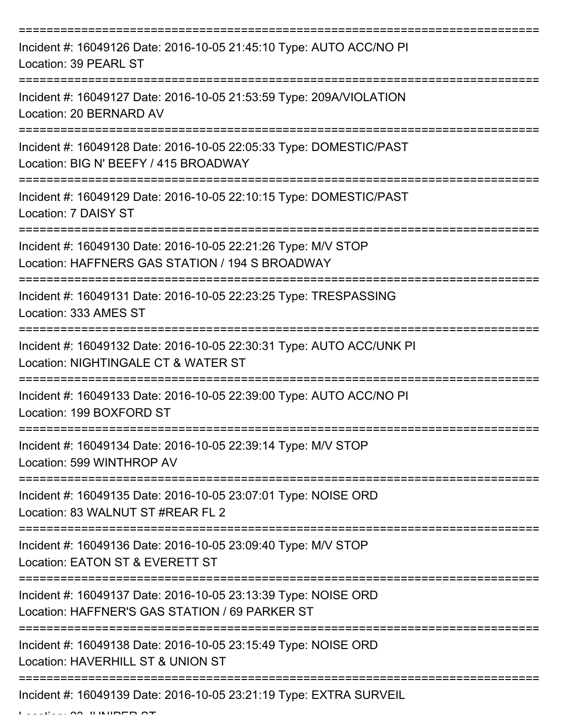| Incident #: 16049126 Date: 2016-10-05 21:45:10 Type: AUTO ACC/NO PI<br>Location: 39 PEARL ST                     |
|------------------------------------------------------------------------------------------------------------------|
| Incident #: 16049127 Date: 2016-10-05 21:53:59 Type: 209A/VIOLATION<br>Location: 20 BERNARD AV                   |
| Incident #: 16049128 Date: 2016-10-05 22:05:33 Type: DOMESTIC/PAST<br>Location: BIG N' BEEFY / 415 BROADWAY      |
| Incident #: 16049129 Date: 2016-10-05 22:10:15 Type: DOMESTIC/PAST<br>Location: 7 DAISY ST                       |
| Incident #: 16049130 Date: 2016-10-05 22:21:26 Type: M/V STOP<br>Location: HAFFNERS GAS STATION / 194 S BROADWAY |
| Incident #: 16049131 Date: 2016-10-05 22:23:25 Type: TRESPASSING<br>Location: 333 AMES ST                        |
| Incident #: 16049132 Date: 2016-10-05 22:30:31 Type: AUTO ACC/UNK PI<br>Location: NIGHTINGALE CT & WATER ST      |
| Incident #: 16049133 Date: 2016-10-05 22:39:00 Type: AUTO ACC/NO PI<br>Location: 199 BOXFORD ST                  |
| Incident #: 16049134 Date: 2016-10-05 22:39:14 Type: M/V STOP<br>Location: 599 WINTHROP AV                       |
| Incident #: 16049135 Date: 2016-10-05 23:07:01 Type: NOISE ORD<br>Location: 83 WALNUT ST #REAR FL 2              |
| Incident #: 16049136 Date: 2016-10-05 23:09:40 Type: M/V STOP<br>Location: EATON ST & EVERETT ST                 |
| Incident #: 16049137 Date: 2016-10-05 23:13:39 Type: NOISE ORD<br>Location: HAFFNER'S GAS STATION / 69 PARKER ST |
| Incident #: 16049138 Date: 2016-10-05 23:15:49 Type: NOISE ORD<br>Location: HAVERHILL ST & UNION ST              |
| Incident #: 16049139 Date: 2016-10-05 23:21:19 Type: EXTRA SURVEIL                                               |